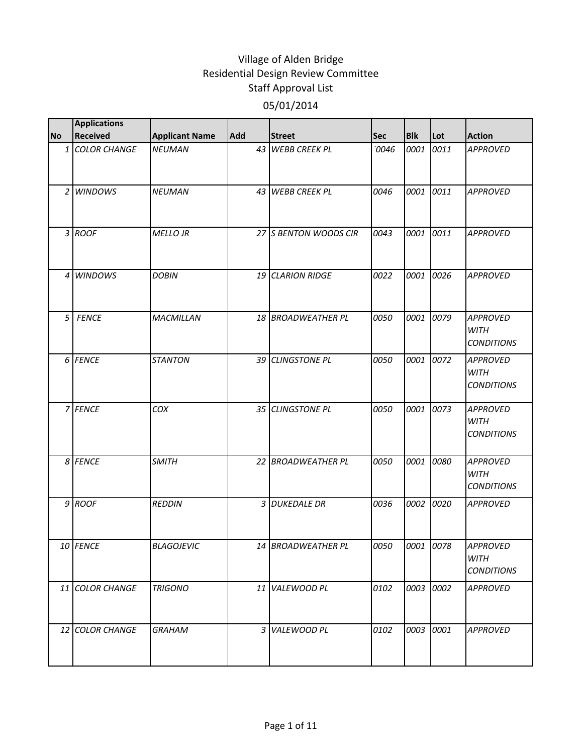|                | <b>Applications</b> |                       |     |                       |       |            |           |                                                     |
|----------------|---------------------|-----------------------|-----|-----------------------|-------|------------|-----------|-----------------------------------------------------|
| <b>No</b>      | <b>Received</b>     | <b>Applicant Name</b> | Add | <b>Street</b>         | Sec   | <b>Blk</b> | Lot       | <b>Action</b>                                       |
|                | 1 COLOR CHANGE      | <b>NEUMAN</b>         |     | 43 WEBB CREEK PL      | `0046 | 0001       | 0011      | <b>APPROVED</b>                                     |
|                | 2 <i>WINDOWS</i>    | <b>NEUMAN</b>         | 43  | <b>WEBB CREEK PL</b>  | 0046  | 0001       | 0011      | <b>APPROVED</b>                                     |
|                | 3 ROOF              | <b>MELLO JR</b>       |     | 27 S BENTON WOODS CIR | 0043  | 0001       | 0011      | <b>APPROVED</b>                                     |
|                | 4 <i>WINDOWS</i>    | <b>DOBIN</b>          |     | 19 CLARION RIDGE      | 0022  | 0001       | 0026      | <b>APPROVED</b>                                     |
| 5 <sup>1</sup> | <b>FENCE</b>        | <b>MACMILLAN</b>      |     | 18 BROADWEATHER PL    | 0050  | 0001       | 0079      | <b>APPROVED</b><br><b>WITH</b><br><b>CONDITIONS</b> |
|                | 6 FENCE             | <b>STANTON</b>        |     | 39 CLINGSTONE PL      | 0050  | 0001       | 0072      | <b>APPROVED</b><br><b>WITH</b><br><b>CONDITIONS</b> |
|                | 7 FENCE             | COX                   |     | 35 CLINGSTONE PL      | 0050  | 0001       | 0073      | <b>APPROVED</b><br><b>WITH</b><br><b>CONDITIONS</b> |
|                | 8 FENCE             | <b>SMITH</b>          |     | 22 BROADWEATHER PL    | 0050  | 0001       | 0080      | <b>APPROVED</b><br><b>WITH</b><br><b>CONDITIONS</b> |
|                | 9 ROOF              | <b>REDDIN</b>         |     | 3 DUKEDALE DR         | 0036  | 0002       | 0020      | <b>APPROVED</b>                                     |
|                | 10 FENCE            | <b>BLAGOJEVIC</b>     |     | 14 BROADWEATHER PL    | 0050  |            | 0001 0078 | <b>APPROVED</b><br>WITH<br><b>CONDITIONS</b>        |
|                | 11 COLOR CHANGE     | <b>TRIGONO</b>        |     | 11 VALEWOOD PL        | 0102  | 0003 0002  |           | <b>APPROVED</b>                                     |
|                | 12 COLOR CHANGE     | <b>GRAHAM</b>         | 3   | VALEWOOD PL           | 0102  | 0003       | 0001      | <b>APPROVED</b>                                     |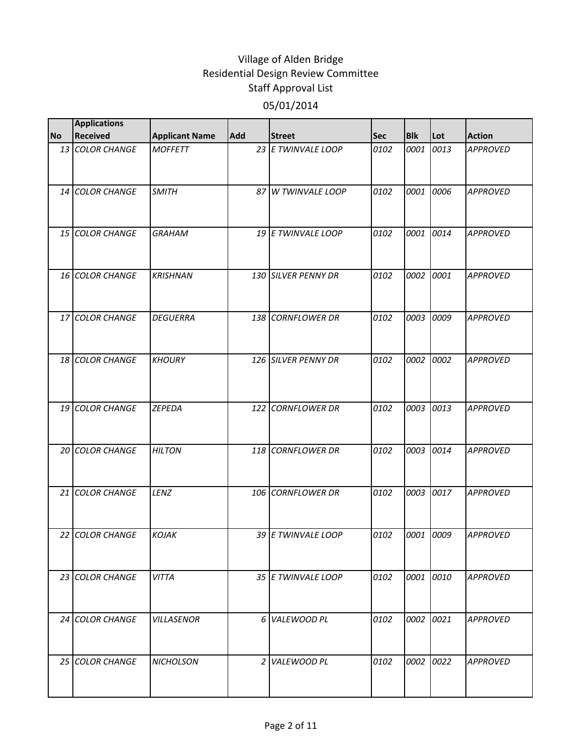|           | <b>Applications</b> |                       |            |                     |            |            |           |                 |
|-----------|---------------------|-----------------------|------------|---------------------|------------|------------|-----------|-----------------|
| <b>No</b> | <b>Received</b>     | <b>Applicant Name</b> | <b>Add</b> | <b>Street</b>       | <b>Sec</b> | <b>Blk</b> | Lot       | <b>Action</b>   |
|           | 13 COLOR CHANGE     | <b>MOFFETT</b>        |            | 23 E TWINVALE LOOP  | 0102       | 0001       | 0013      | <b>APPROVED</b> |
|           | 14 COLOR CHANGE     | <b>SMITH</b>          | 87         | W TWINVALE LOOP     | 0102       | 0001       | 0006      | <b>APPROVED</b> |
|           | 15 COLOR CHANGE     | <b>GRAHAM</b>         |            | 19 E TWINVALE LOOP  | 0102       | 0001       | 0014      | <b>APPROVED</b> |
|           | 16 COLOR CHANGE     | <b>KRISHNAN</b>       |            | 130 SILVER PENNY DR | 0102       | 0002       | 0001      | <b>APPROVED</b> |
|           | 17 COLOR CHANGE     | <b>DEGUERRA</b>       |            | 138 CORNFLOWER DR   | 0102       | 0003       | 0009      | <b>APPROVED</b> |
|           | 18 COLOR CHANGE     | <b>KHOURY</b>         |            | 126 SILVER PENNY DR | 0102       | 0002       | 0002      | <b>APPROVED</b> |
|           | 19 COLOR CHANGE     | <b>ZEPEDA</b>         |            | 122 CORNFLOWER DR   | 0102       | 0003       | 0013      | <b>APPROVED</b> |
|           | 20 COLOR CHANGE     | <b>HILTON</b>         |            | 118 CORNFLOWER DR   | 0102       | 0003       | 0014      | <b>APPROVED</b> |
|           | 21 COLOR CHANGE     | LENZ                  |            | 106 CORNFLOWER DR   | 0102       | 0003       | 0017      | <b>APPROVED</b> |
|           | 22 COLOR CHANGE     | <b>KOJAK</b>          |            | 39 E TWINVALE LOOP  | 0102       | 0001       | 0009      | <b>APPROVED</b> |
|           | 23 COLOR CHANGE     | <b>VITTA</b>          |            | 35 E TWINVALE LOOP  | 0102       |            | 0001 0010 | <b>APPROVED</b> |
|           | 24 COLOR CHANGE     | <b>VILLASENOR</b>     |            | 6 VALEWOOD PL       | 0102       | 0002       | 0021      | <b>APPROVED</b> |
|           | 25 COLOR CHANGE     | <b>NICHOLSON</b>      |            | 2 VALEWOOD PL       | 0102       | 0002       | 0022      | <b>APPROVED</b> |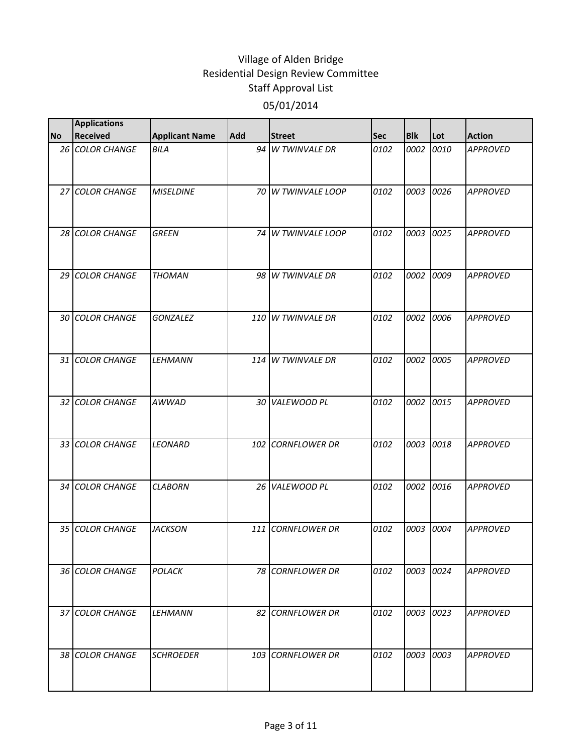|           | <b>Applications</b> |                       |            |                    |            |            |      |                 |
|-----------|---------------------|-----------------------|------------|--------------------|------------|------------|------|-----------------|
| <b>No</b> | <b>Received</b>     | <b>Applicant Name</b> | <b>Add</b> | <b>Street</b>      | <b>Sec</b> | <b>Blk</b> | Lot  | <b>Action</b>   |
|           | 26 COLOR CHANGE     | <b>BILA</b>           |            | 94 W TWINVALE DR   | 0102       | 0002       | 0010 | <b>APPROVED</b> |
|           | 27 COLOR CHANGE     | <b>MISELDINE</b>      |            | 70 W TWINVALE LOOP | 0102       | 0003       | 0026 | <b>APPROVED</b> |
|           | 28 COLOR CHANGE     | <b>GREEN</b>          |            | 74 W TWINVALE LOOP | 0102       | 0003       | 0025 | <b>APPROVED</b> |
|           | 29 COLOR CHANGE     | <b>THOMAN</b>         |            | 98 W TWINVALE DR   | 0102       | 0002       | 0009 | <b>APPROVED</b> |
|           | 30 COLOR CHANGE     | <b>GONZALEZ</b>       |            | 110 W TWINVALE DR  | 0102       | 0002       | 0006 | <b>APPROVED</b> |
|           | 31 COLOR CHANGE     | <b>LEHMANN</b>        |            | 114 W TWINVALE DR  | 0102       | 0002       | 0005 | <b>APPROVED</b> |
|           | 32 COLOR CHANGE     | <b>AWWAD</b>          |            | 30 VALEWOOD PL     | 0102       | 0002       | 0015 | <b>APPROVED</b> |
|           | 33 COLOR CHANGE     | <b>LEONARD</b>        |            | 102 CORNFLOWER DR  | 0102       | 0003 0018  |      | <b>APPROVED</b> |
|           | 34 COLOR CHANGE     | <b>CLABORN</b>        |            | 26 VALEWOOD PL     | 0102       | 0002       | 0016 | <b>APPROVED</b> |
|           | 35 COLOR CHANGE     | <b>JACKSON</b>        |            | 111 CORNFLOWER DR  | 0102       | 0003       | 0004 | <b>APPROVED</b> |
|           | 36 COLOR CHANGE     | <b>POLACK</b>         |            | 78 CORNFLOWER DR   | 0102       | 0003 0024  |      | <b>APPROVED</b> |
|           | 37 COLOR CHANGE     | <b>LEHMANN</b>        |            | 82 CORNFLOWER DR   | 0102       | 0003       | 0023 | <b>APPROVED</b> |
|           | 38 COLOR CHANGE     | <b>SCHROEDER</b>      |            | 103 CORNFLOWER DR  | 0102       | 0003       | 0003 | <b>APPROVED</b> |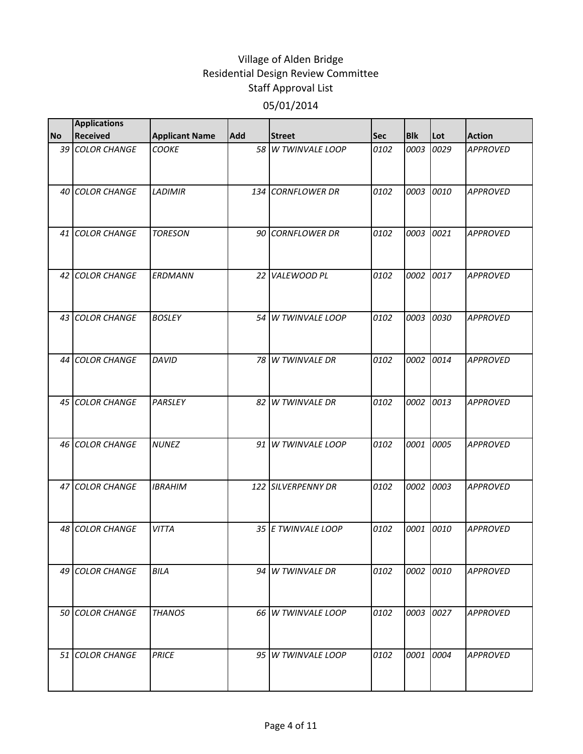|           | <b>Applications</b>    |                       |            |                    |            |            |      |                 |
|-----------|------------------------|-----------------------|------------|--------------------|------------|------------|------|-----------------|
| <b>No</b> | <b>Received</b>        | <b>Applicant Name</b> | <b>Add</b> | <b>Street</b>      | <b>Sec</b> | <b>Blk</b> | Lot  | <b>Action</b>   |
|           | 39 COLOR CHANGE        | <b>COOKE</b>          |            | 58 W TWINVALE LOOP | 0102       | 0003       | 0029 | <b>APPROVED</b> |
|           | 40 COLOR CHANGE        | <b>LADIMIR</b>        |            | 134 CORNFLOWER DR  | 0102       | 0003       | 0010 | <b>APPROVED</b> |
|           | 41 COLOR CHANGE        | <b>TORESON</b>        |            | 90 CORNFLOWER DR   | 0102       | 0003       | 0021 | <b>APPROVED</b> |
|           | 42 COLOR CHANGE        | ERDMANN               |            | 22 VALEWOOD PL     | 0102       | 0002       | 0017 | <b>APPROVED</b> |
|           | 43 COLOR CHANGE        | <b>BOSLEY</b>         |            | 54 W TWINVALE LOOP | 0102       | 0003       | 0030 | <b>APPROVED</b> |
|           | 44 COLOR CHANGE        | DAVID                 |            | 78 W TWINVALE DR   | 0102       | 0002       | 0014 | <b>APPROVED</b> |
|           | 45 COLOR CHANGE        | PARSLEY               |            | 82 W TWINVALE DR   | 0102       | 0002       | 0013 | <b>APPROVED</b> |
|           | 46 COLOR CHANGE        | <b>NUNEZ</b>          |            | 91 W TWINVALE LOOP | 0102       | 0001       | 0005 | <b>APPROVED</b> |
|           | 47 COLOR CHANGE        | <b>IBRAHIM</b>        |            | 122 SILVERPENNY DR | 0102       | 0002       | 0003 | <b>APPROVED</b> |
|           | 48 COLOR CHANGE        | <b>VITTA</b>          |            | 35 E TWINVALE LOOP | 0102       | 0001       | 0010 | <b>APPROVED</b> |
|           | 49 COLOR CHANGE        | <b>BILA</b>           |            | 94 W TWINVALE DR   | 0102       | 0002 0010  |      | <b>APPROVED</b> |
|           | <b>50 COLOR CHANGE</b> | <b>THANOS</b>         |            | 66 W TWINVALE LOOP | 0102       | 0003       | 0027 | <b>APPROVED</b> |
|           | 51 COLOR CHANGE        | <b>PRICE</b>          |            | 95 W TWINVALE LOOP | 0102       | 0001       | 0004 | <b>APPROVED</b> |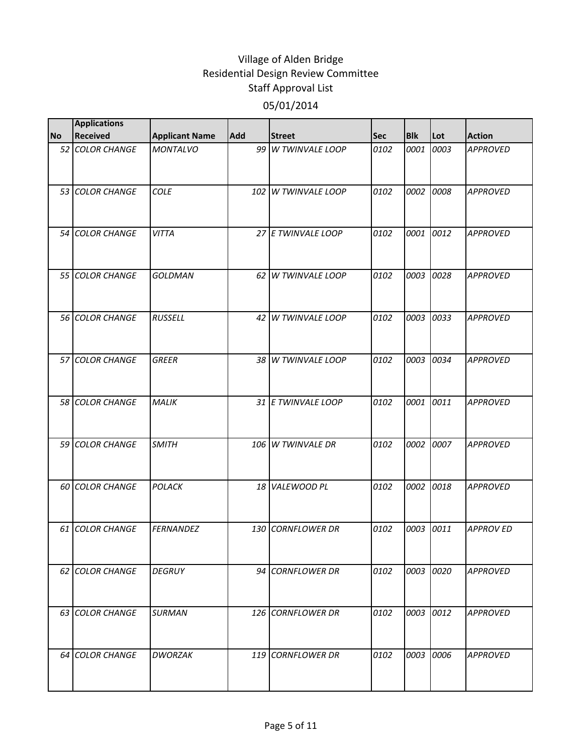|           | <b>Applications</b> |                       |     |                      |            |            |      |                  |
|-----------|---------------------|-----------------------|-----|----------------------|------------|------------|------|------------------|
| <b>No</b> | <b>Received</b>     | <b>Applicant Name</b> | Add | <b>Street</b>        | <b>Sec</b> | <b>Blk</b> | Lot  | <b>Action</b>    |
|           | 52 COLOR CHANGE     | <b>MONTALVO</b>       |     | 99 W TWINVALE LOOP   | 0102       | 0001       | 0003 | <b>APPROVED</b>  |
|           | 53 COLOR CHANGE     | <b>COLE</b>           | 102 | W TWINVALE LOOP      | 0102       | 0002       | 0008 | <b>APPROVED</b>  |
|           | 54 COLOR CHANGE     | <b>VITTA</b>          |     | 27 E TWINVALE LOOP   | 0102       | 0001       | 0012 | <b>APPROVED</b>  |
|           | 55 COLOR CHANGE     | <b>GOLDMAN</b>        | 62  | W TWINVALE LOOP      | 0102       | 0003       | 0028 | <b>APPROVED</b>  |
|           | 56 COLOR CHANGE     | <b>RUSSELL</b>        | 42  | W TWINVALE LOOP      | 0102       | 0003       | 0033 | <b>APPROVED</b>  |
|           | 57 COLOR CHANGE     | <b>GREER</b>          |     | 38 W TWINVALE LOOP   | 0102       | 0003       | 0034 | <b>APPROVED</b>  |
|           | 58 COLOR CHANGE     | MALIK                 |     | 31 E TWINVALE LOOP   | 0102       | 0001       | 0011 | <b>APPROVED</b>  |
|           | 59 COLOR CHANGE     | <b>SMITH</b>          | 106 | W TWINVALE DR        | 0102       | 0002 0007  |      | <b>APPROVED</b>  |
|           | 60 COLOR CHANGE     | POLACK                | 18  | VALEWOOD PL          | 0102       | 0002       | 0018 | <b>APPROVED</b>  |
|           | 61 COLOR CHANGE     | <b>FERNANDEZ</b>      | 130 | <b>CORNFLOWER DR</b> | 0102       | 0003       | 0011 | <b>APPROV ED</b> |
|           | 62 COLOR CHANGE     | <b>DEGRUY</b>         |     | 94 CORNFLOWER DR     | 0102       | 0003 0020  |      | <b>APPROVED</b>  |
|           | 63 COLOR CHANGE     | <b>SURMAN</b>         | 126 | <b>CORNFLOWER DR</b> | 0102       | 0003       | 0012 | <b>APPROVED</b>  |
|           | 64 COLOR CHANGE     | <b>DWORZAK</b>        |     | 119 CORNFLOWER DR    | 0102       | 0003       | 0006 | <b>APPROVED</b>  |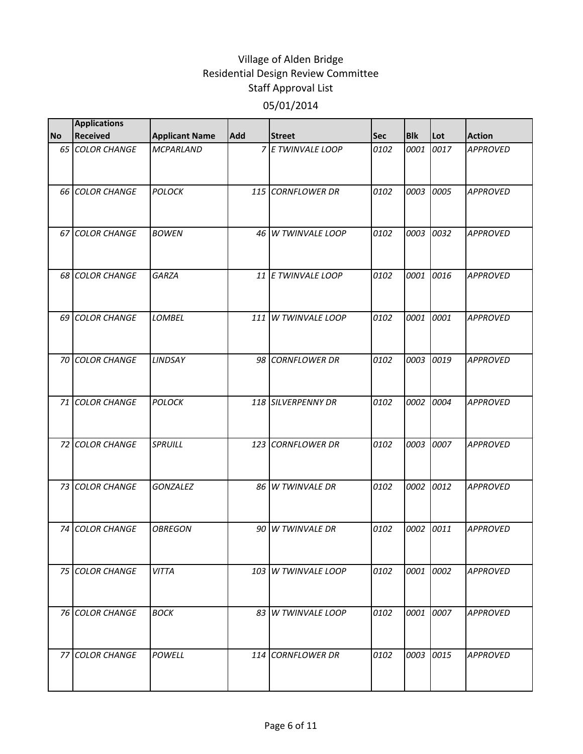|           | <b>Applications</b>    |                       |     |                     |            |            |      |                 |
|-----------|------------------------|-----------------------|-----|---------------------|------------|------------|------|-----------------|
| <b>No</b> | <b>Received</b>        | <b>Applicant Name</b> | Add | <b>Street</b>       | <b>Sec</b> | <b>Blk</b> | Lot  | <b>Action</b>   |
|           | 65 COLOR CHANGE        | <b>MCPARLAND</b>      |     | 7 E TWINVALE LOOP   | 0102       | 0001       | 0017 | <b>APPROVED</b> |
|           | <b>66 COLOR CHANGE</b> | <b>POLOCK</b>         |     | 115 CORNFLOWER DR   | 0102       | 0003       | 0005 | <b>APPROVED</b> |
|           | 67 COLOR CHANGE        | <b>BOWEN</b>          |     | 46 W TWINVALE LOOP  | 0102       | 0003       | 0032 | <b>APPROVED</b> |
|           | 68 COLOR CHANGE        | <b>GARZA</b>          |     | 11 E TWINVALE LOOP  | 0102       | 0001       | 0016 | <b>APPROVED</b> |
|           | 69 COLOR CHANGE        | <b>LOMBEL</b>         |     | 111 W TWINVALE LOOP | 0102       | 0001       | 0001 | <b>APPROVED</b> |
|           | 70 COLOR CHANGE        | LINDSAY               |     | 98 CORNFLOWER DR    | 0102       | 0003       | 0019 | <b>APPROVED</b> |
|           | 71 COLOR CHANGE        | <b>POLOCK</b>         |     | 118 SILVERPENNY DR  | 0102       | 0002       | 0004 | <b>APPROVED</b> |
|           | 72 COLOR CHANGE        | SPRUILL               |     | 123 CORNFLOWER DR   | 0102       | 0003       | 0007 | <b>APPROVED</b> |
|           | 73 COLOR CHANGE        | <b>GONZALEZ</b>       |     | 86 W TWINVALE DR    | 0102       | 0002       | 0012 | <b>APPROVED</b> |
|           | 74 COLOR CHANGE        | <b>OBREGON</b>        | 90  | W TWINVALE DR       | 0102       | 0002       | 0011 | <b>APPROVED</b> |
|           | 75 COLOR CHANGE        | <b>VITTA</b>          |     | 103 W TWINVALE LOOP | 0102       | 0001 0002  |      | <b>APPROVED</b> |
|           | 76 COLOR CHANGE        | <b>BOCK</b>           |     | 83 W TWINVALE LOOP  | 0102       | 0001       | 0007 | <b>APPROVED</b> |
|           | 77 COLOR CHANGE        | <b>POWELL</b>         |     | 114 CORNFLOWER DR   | 0102       | 0003 0015  |      | <b>APPROVED</b> |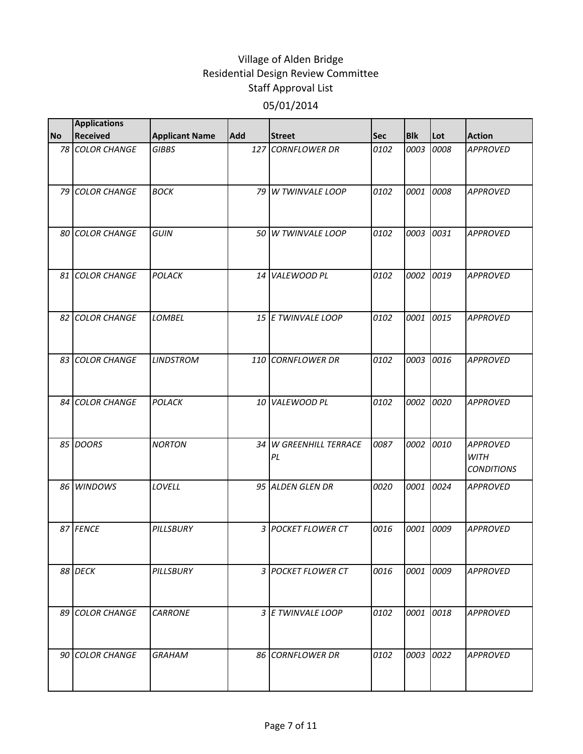|           | <b>Applications</b> |                       |            |                              |            |            |      |                                                     |
|-----------|---------------------|-----------------------|------------|------------------------------|------------|------------|------|-----------------------------------------------------|
| <b>No</b> | <b>Received</b>     | <b>Applicant Name</b> | <b>Add</b> | <b>Street</b>                | <b>Sec</b> | <b>Blk</b> | Lot  | <b>Action</b>                                       |
|           | 78 COLOR CHANGE     | <b>GIBBS</b>          |            | 127 CORNFLOWER DR            | 0102       | 0003       | 0008 | <b>APPROVED</b>                                     |
|           | 79 COLOR CHANGE     | <b>BOCK</b>           |            | 79 W TWINVALE LOOP           | 0102       | 0001       | 0008 | <b>APPROVED</b>                                     |
|           | 80 COLOR CHANGE     | GUIN                  |            | 50 W TWINVALE LOOP           | 0102       | 0003       | 0031 | <b>APPROVED</b>                                     |
|           | 81 COLOR CHANGE     | POLACK                |            | 14 VALEWOOD PL               | 0102       | 0002       | 0019 | <b>APPROVED</b>                                     |
|           | 82 COLOR CHANGE     | <b>LOMBEL</b>         |            | 15 E TWINVALE LOOP           | 0102       | 0001       | 0015 | <b>APPROVED</b>                                     |
|           | 83 COLOR CHANGE     | <b>LINDSTROM</b>      |            | 110 CORNFLOWER DR            | 0102       | 0003       | 0016 | <b>APPROVED</b>                                     |
|           | 84 COLOR CHANGE     | <b>POLACK</b>         | 10         | <b>VALEWOOD PL</b>           | 0102       | 0002       | 0020 | <b>APPROVED</b>                                     |
|           | 85 DOORS            | <b>NORTON</b>         |            | 34 W GREENHILL TERRACE<br>PL | 0087       | 0002       | 0010 | <b>APPROVED</b><br><b>WITH</b><br><b>CONDITIONS</b> |
|           | 86 WINDOWS          | LOVELL                |            | 95 ALDEN GLEN DR             | 0020       | 0001       | 0024 | <b>APPROVED</b>                                     |
|           | 87 FENCE            | PILLSBURY             |            | 3 POCKET FLOWER CT           | 0016       | 0001       | 0009 | <b>APPROVED</b>                                     |
|           | 88 DECK             | PILLSBURY             |            | 3 POCKET FLOWER CT           | 0016       | 0001       | 0009 | <b>APPROVED</b>                                     |
|           | 89 COLOR CHANGE     | <b>CARRONE</b>        |            | 3 E TWINVALE LOOP            | 0102       | 0001       | 0018 | <b>APPROVED</b>                                     |
|           | 90 COLOR CHANGE     | <b>GRAHAM</b>         |            | 86 CORNFLOWER DR             | 0102       | 0003       | 0022 | <b>APPROVED</b>                                     |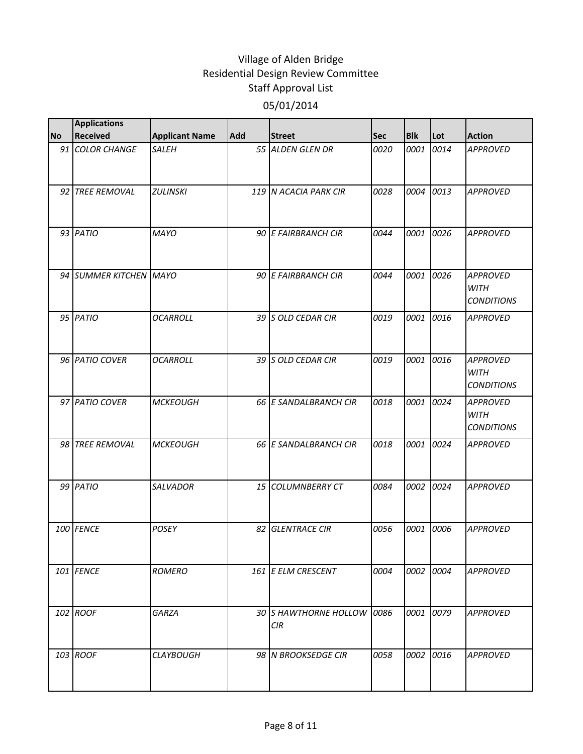|           | <b>Applications</b>    |                       |            |                                     |            |            |      |                                                     |
|-----------|------------------------|-----------------------|------------|-------------------------------------|------------|------------|------|-----------------------------------------------------|
| <b>No</b> | <b>Received</b>        | <b>Applicant Name</b> | <b>Add</b> | <b>Street</b>                       | <b>Sec</b> | <b>Blk</b> | Lot  | <b>Action</b>                                       |
|           | 91 COLOR CHANGE        | <b>SALEH</b>          |            | 55 ALDEN GLEN DR                    | 0020       | 0001       | 0014 | <b>APPROVED</b>                                     |
|           | 92 TREE REMOVAL        | <b>ZULINSKI</b>       |            | 119 N ACACIA PARK CIR               | 0028       | 0004       | 0013 | <b>APPROVED</b>                                     |
|           | 93 PATIO               | <b>MAYO</b>           |            | 90 E FAIRBRANCH CIR                 | 0044       | 0001       | 0026 | <b>APPROVED</b>                                     |
|           | 94 SUMMER KITCHEN MAYO |                       |            | 90 E FAIRBRANCH CIR                 | 0044       | 0001       | 0026 | <b>APPROVED</b><br><b>WITH</b><br><b>CONDITIONS</b> |
|           | 95 PATIO               | <b>OCARROLL</b>       |            | 39 S OLD CEDAR CIR                  | 0019       | 0001       | 0016 | <b>APPROVED</b>                                     |
|           | 96 PATIO COVER         | <b>OCARROLL</b>       |            | 39 S OLD CEDAR CIR                  | 0019       | 0001       | 0016 | <b>APPROVED</b><br><b>WITH</b><br><b>CONDITIONS</b> |
|           | 97 PATIO COVER         | <b>MCKEOUGH</b>       |            | 66 E SANDALBRANCH CIR               | 0018       | 0001       | 0024 | <b>APPROVED</b><br><b>WITH</b><br><b>CONDITIONS</b> |
|           | 98 TREE REMOVAL        | <b>MCKEOUGH</b>       |            | 66 E SANDALBRANCH CIR               | 0018       | 0001       | 0024 | <b>APPROVED</b>                                     |
|           | 99 PATIO               | SALVADOR              |            | 15 COLUMNBERRY CT                   | 0084       | 0002       | 0024 | <b>APPROVED</b>                                     |
|           | 100 FENCE              | POSEY                 | 82         | <b>GLENTRACE CIR</b>                | 0056       | 0001       | 0006 | <b>APPROVED</b>                                     |
|           | 101 FENCE              | <b>ROMERO</b>         |            | 161 E ELM CRESCENT                  | 0004       | 0002       | 0004 | <b>APPROVED</b>                                     |
|           | 102 ROOF               | GARZA                 |            | 30 S HAWTHORNE HOLLOW<br><b>CIR</b> | 0086       | 0001       | 0079 | <b>APPROVED</b>                                     |
|           | 103 ROOF               | <b>CLAYBOUGH</b>      |            | 98 N BROOKSEDGE CIR                 | 0058       | 0002       | 0016 | <b>APPROVED</b>                                     |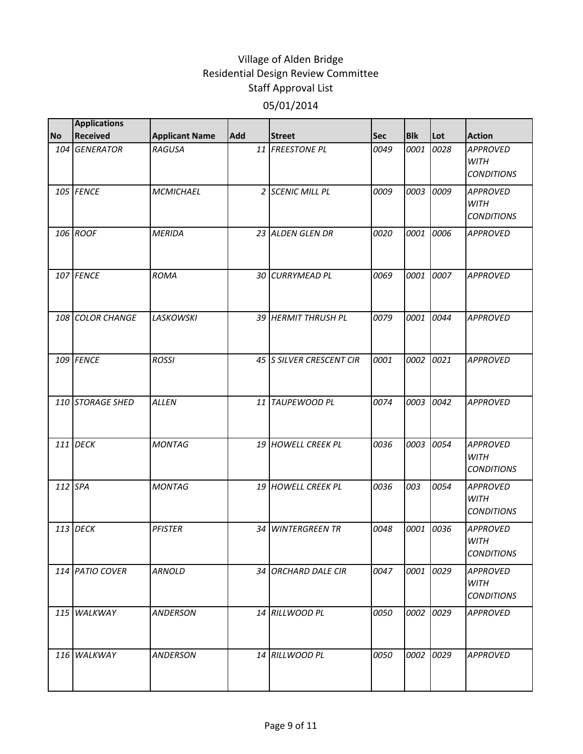|           | <b>Applications</b> |                       |            |                        |            |            |      |                                                     |
|-----------|---------------------|-----------------------|------------|------------------------|------------|------------|------|-----------------------------------------------------|
| <b>No</b> | <b>Received</b>     | <b>Applicant Name</b> | <b>Add</b> | <b>Street</b>          | <b>Sec</b> | <b>Blk</b> | Lot  | <b>Action</b>                                       |
|           | 104 GENERATOR       | <b>RAGUSA</b>         |            | 11 FREESTONE PL        | 0049       | 0001       | 0028 | <b>APPROVED</b><br><b>WITH</b><br><b>CONDITIONS</b> |
|           | 105 FENCE           | <b>MCMICHAEL</b>      |            | 2 SCENIC MILL PL       | 0009       | 0003       | 0009 | <b>APPROVED</b><br><b>WITH</b><br><b>CONDITIONS</b> |
|           | 106 ROOF            | <b>MERIDA</b>         |            | 23 ALDEN GLEN DR       | 0020       | 0001       | 0006 | <b>APPROVED</b>                                     |
|           | 107 FENCE           | <b>ROMA</b>           |            | 30 CURRYMEAD PL        | 0069       | 0001       | 0007 | <b>APPROVED</b>                                     |
|           | 108 COLOR CHANGE    | <b>LASKOWSKI</b>      |            | 39 HERMIT THRUSH PL    | 0079       | 0001       | 0044 | <b>APPROVED</b>                                     |
|           | 109 FENCE           | <b>ROSSI</b>          |            | 45 SILVER CRESCENT CIR | 0001       | 0002       | 0021 | <b>APPROVED</b>                                     |
|           | 110 STORAGE SHED    | <b>ALLEN</b>          |            | 11 TAUPEWOOD PL        | 0074       | 0003       | 0042 | <b>APPROVED</b>                                     |
|           | 111 DECK            | <b>MONTAG</b>         |            | 19 HOWELL CREEK PL     | 0036       | 0003       | 0054 | <b>APPROVED</b><br><b>WITH</b><br><b>CONDITIONS</b> |
|           | 112 SPA             | <b>MONTAG</b>         |            | 19 HOWELL CREEK PL     | 0036       | 003        | 0054 | <b>APPROVED</b><br><b>WITH</b><br><b>CONDITIONS</b> |
|           | 113 DECK            | <b>PFISTER</b>        |            | 34 WINTERGREEN TR      | 0048       | 0001       | 0036 | <b>APPROVED</b><br><b>WITH</b><br><b>CONDITIONS</b> |
|           | 114 PATIO COVER     | <b>ARNOLD</b>         |            | 34 ORCHARD DALE CIR    | 0047       | 0001       | 0029 | <b>APPROVED</b><br><b>WITH</b><br><b>CONDITIONS</b> |
|           | 115 WALKWAY         | <b>ANDERSON</b>       |            | 14 RILLWOOD PL         | 0050       | 0002       | 0029 | <b>APPROVED</b>                                     |
|           | 116 WALKWAY         | <b>ANDERSON</b>       |            | 14 RILLWOOD PL         | 0050       | 0002       | 0029 | <b>APPROVED</b>                                     |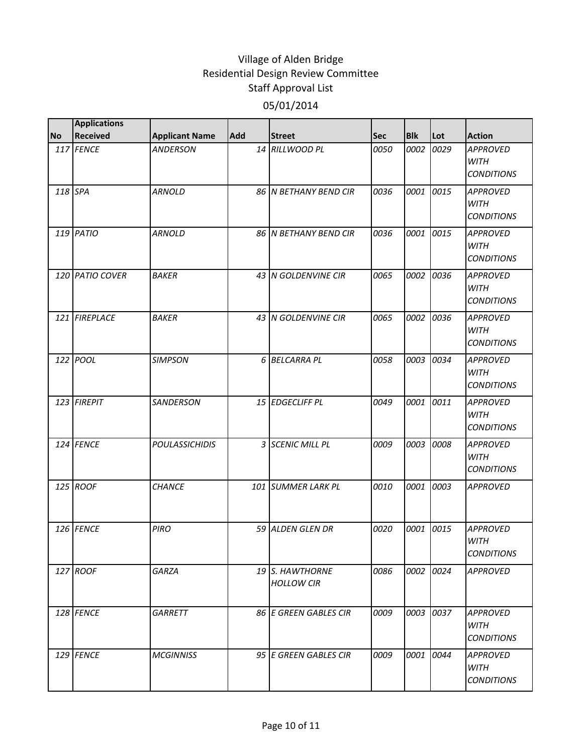| 117 FENCE<br>14 RILLWOOD PL<br>0050<br>0002<br>0029<br><b>APPROVED</b><br><b>ANDERSON</b><br><b>WITH</b><br><b>CONDITIONS</b><br>118 SPA<br>0036<br>0001<br>0015<br><b>ARNOLD</b><br>86 IN BETHANY BEND CIR<br><b>APPROVED</b><br><b>WITH</b><br><b>CONDITIONS</b><br>119 PATIO<br>0036<br>0015<br><b>ARNOLD</b><br>86 IN BETHANY BEND CIR<br>0001<br><b>APPROVED</b><br><b>WITH</b><br><b>CONDITIONS</b><br>0036<br><b>BAKER</b><br>43 N GOLDENVINE CIR<br>0065<br>0002<br>120 PATIO COVER<br><b>APPROVED</b><br>WITH<br><b>CONDITIONS</b><br>121 FIREPLACE<br><b>BAKER</b><br>0065<br>0002<br>0036<br>43 N GOLDENVINE CIR<br><b>APPROVED</b><br><b>WITH</b><br><b>CONDITIONS</b><br>122 POOL<br>6 BELCARRA PL<br>0058<br>0003<br>0034<br><b>SIMPSON</b><br><b>APPROVED</b><br><b>WITH</b><br><b>CONDITIONS</b><br>123 FIREPIT<br>0049<br>0001<br>0011<br><b>SANDERSON</b><br>15 EDGECLIFF PL<br><b>APPROVED</b><br><b>WITH</b><br><b>CONDITIONS</b><br>124 FENCE<br>3 SCENIC MILL PL<br>0009<br>0003<br>0008<br><b>POULASSICHIDIS</b><br><b>APPROVED</b><br><b>WITH</b><br><b>CONDITIONS</b><br>125 ROOF<br>101 SUMMER LARK PL<br>0003<br><b>CHANCE</b><br>0010<br>0001<br><b>APPROVED</b><br>126 FENCE<br><b>PIRO</b><br>59 ALDEN GLEN DR<br>0020<br>0001<br>0015<br><b>APPROVED</b><br><b>WITH</b><br><b>CONDITIONS</b><br>127 ROOF<br>GARZA<br>0086<br>0002 0024<br>19 S. HAWTHORNE<br><b>APPROVED</b><br><b>HOLLOW CIR</b><br>128 FENCE<br>0009<br>0003<br>0037<br>GARRETT<br>86 E GREEN GABLES CIR<br><b>APPROVED</b><br><b>WITH</b><br><b>CONDITIONS</b><br>129 FENCE<br>95 E GREEN GABLES CIR<br>0009<br>0001<br>0044<br><b>MCGINNISS</b><br><b>APPROVED</b><br><b>WITH</b><br><b>CONDITIONS</b> |           | <b>Applications</b><br><b>Received</b> |                       | <b>Add</b> |               |     | <b>Blk</b> | Lot | <b>Action</b> |
|-----------------------------------------------------------------------------------------------------------------------------------------------------------------------------------------------------------------------------------------------------------------------------------------------------------------------------------------------------------------------------------------------------------------------------------------------------------------------------------------------------------------------------------------------------------------------------------------------------------------------------------------------------------------------------------------------------------------------------------------------------------------------------------------------------------------------------------------------------------------------------------------------------------------------------------------------------------------------------------------------------------------------------------------------------------------------------------------------------------------------------------------------------------------------------------------------------------------------------------------------------------------------------------------------------------------------------------------------------------------------------------------------------------------------------------------------------------------------------------------------------------------------------------------------------------------------------------------------------------------------------------------------------------------------------------------------------------|-----------|----------------------------------------|-----------------------|------------|---------------|-----|------------|-----|---------------|
|                                                                                                                                                                                                                                                                                                                                                                                                                                                                                                                                                                                                                                                                                                                                                                                                                                                                                                                                                                                                                                                                                                                                                                                                                                                                                                                                                                                                                                                                                                                                                                                                                                                                                                           | <b>No</b> |                                        | <b>Applicant Name</b> |            | <b>Street</b> | Sec |            |     |               |
|                                                                                                                                                                                                                                                                                                                                                                                                                                                                                                                                                                                                                                                                                                                                                                                                                                                                                                                                                                                                                                                                                                                                                                                                                                                                                                                                                                                                                                                                                                                                                                                                                                                                                                           |           |                                        |                       |            |               |     |            |     |               |
|                                                                                                                                                                                                                                                                                                                                                                                                                                                                                                                                                                                                                                                                                                                                                                                                                                                                                                                                                                                                                                                                                                                                                                                                                                                                                                                                                                                                                                                                                                                                                                                                                                                                                                           |           |                                        |                       |            |               |     |            |     |               |
|                                                                                                                                                                                                                                                                                                                                                                                                                                                                                                                                                                                                                                                                                                                                                                                                                                                                                                                                                                                                                                                                                                                                                                                                                                                                                                                                                                                                                                                                                                                                                                                                                                                                                                           |           |                                        |                       |            |               |     |            |     |               |
|                                                                                                                                                                                                                                                                                                                                                                                                                                                                                                                                                                                                                                                                                                                                                                                                                                                                                                                                                                                                                                                                                                                                                                                                                                                                                                                                                                                                                                                                                                                                                                                                                                                                                                           |           |                                        |                       |            |               |     |            |     |               |
|                                                                                                                                                                                                                                                                                                                                                                                                                                                                                                                                                                                                                                                                                                                                                                                                                                                                                                                                                                                                                                                                                                                                                                                                                                                                                                                                                                                                                                                                                                                                                                                                                                                                                                           |           |                                        |                       |            |               |     |            |     |               |
|                                                                                                                                                                                                                                                                                                                                                                                                                                                                                                                                                                                                                                                                                                                                                                                                                                                                                                                                                                                                                                                                                                                                                                                                                                                                                                                                                                                                                                                                                                                                                                                                                                                                                                           |           |                                        |                       |            |               |     |            |     |               |
|                                                                                                                                                                                                                                                                                                                                                                                                                                                                                                                                                                                                                                                                                                                                                                                                                                                                                                                                                                                                                                                                                                                                                                                                                                                                                                                                                                                                                                                                                                                                                                                                                                                                                                           |           |                                        |                       |            |               |     |            |     |               |
|                                                                                                                                                                                                                                                                                                                                                                                                                                                                                                                                                                                                                                                                                                                                                                                                                                                                                                                                                                                                                                                                                                                                                                                                                                                                                                                                                                                                                                                                                                                                                                                                                                                                                                           |           |                                        |                       |            |               |     |            |     |               |
|                                                                                                                                                                                                                                                                                                                                                                                                                                                                                                                                                                                                                                                                                                                                                                                                                                                                                                                                                                                                                                                                                                                                                                                                                                                                                                                                                                                                                                                                                                                                                                                                                                                                                                           |           |                                        |                       |            |               |     |            |     |               |
|                                                                                                                                                                                                                                                                                                                                                                                                                                                                                                                                                                                                                                                                                                                                                                                                                                                                                                                                                                                                                                                                                                                                                                                                                                                                                                                                                                                                                                                                                                                                                                                                                                                                                                           |           |                                        |                       |            |               |     |            |     |               |
|                                                                                                                                                                                                                                                                                                                                                                                                                                                                                                                                                                                                                                                                                                                                                                                                                                                                                                                                                                                                                                                                                                                                                                                                                                                                                                                                                                                                                                                                                                                                                                                                                                                                                                           |           |                                        |                       |            |               |     |            |     |               |
|                                                                                                                                                                                                                                                                                                                                                                                                                                                                                                                                                                                                                                                                                                                                                                                                                                                                                                                                                                                                                                                                                                                                                                                                                                                                                                                                                                                                                                                                                                                                                                                                                                                                                                           |           |                                        |                       |            |               |     |            |     |               |
|                                                                                                                                                                                                                                                                                                                                                                                                                                                                                                                                                                                                                                                                                                                                                                                                                                                                                                                                                                                                                                                                                                                                                                                                                                                                                                                                                                                                                                                                                                                                                                                                                                                                                                           |           |                                        |                       |            |               |     |            |     |               |
|                                                                                                                                                                                                                                                                                                                                                                                                                                                                                                                                                                                                                                                                                                                                                                                                                                                                                                                                                                                                                                                                                                                                                                                                                                                                                                                                                                                                                                                                                                                                                                                                                                                                                                           |           |                                        |                       |            |               |     |            |     |               |
|                                                                                                                                                                                                                                                                                                                                                                                                                                                                                                                                                                                                                                                                                                                                                                                                                                                                                                                                                                                                                                                                                                                                                                                                                                                                                                                                                                                                                                                                                                                                                                                                                                                                                                           |           |                                        |                       |            |               |     |            |     |               |
|                                                                                                                                                                                                                                                                                                                                                                                                                                                                                                                                                                                                                                                                                                                                                                                                                                                                                                                                                                                                                                                                                                                                                                                                                                                                                                                                                                                                                                                                                                                                                                                                                                                                                                           |           |                                        |                       |            |               |     |            |     |               |
|                                                                                                                                                                                                                                                                                                                                                                                                                                                                                                                                                                                                                                                                                                                                                                                                                                                                                                                                                                                                                                                                                                                                                                                                                                                                                                                                                                                                                                                                                                                                                                                                                                                                                                           |           |                                        |                       |            |               |     |            |     |               |
|                                                                                                                                                                                                                                                                                                                                                                                                                                                                                                                                                                                                                                                                                                                                                                                                                                                                                                                                                                                                                                                                                                                                                                                                                                                                                                                                                                                                                                                                                                                                                                                                                                                                                                           |           |                                        |                       |            |               |     |            |     |               |
|                                                                                                                                                                                                                                                                                                                                                                                                                                                                                                                                                                                                                                                                                                                                                                                                                                                                                                                                                                                                                                                                                                                                                                                                                                                                                                                                                                                                                                                                                                                                                                                                                                                                                                           |           |                                        |                       |            |               |     |            |     |               |
|                                                                                                                                                                                                                                                                                                                                                                                                                                                                                                                                                                                                                                                                                                                                                                                                                                                                                                                                                                                                                                                                                                                                                                                                                                                                                                                                                                                                                                                                                                                                                                                                                                                                                                           |           |                                        |                       |            |               |     |            |     |               |
|                                                                                                                                                                                                                                                                                                                                                                                                                                                                                                                                                                                                                                                                                                                                                                                                                                                                                                                                                                                                                                                                                                                                                                                                                                                                                                                                                                                                                                                                                                                                                                                                                                                                                                           |           |                                        |                       |            |               |     |            |     |               |
|                                                                                                                                                                                                                                                                                                                                                                                                                                                                                                                                                                                                                                                                                                                                                                                                                                                                                                                                                                                                                                                                                                                                                                                                                                                                                                                                                                                                                                                                                                                                                                                                                                                                                                           |           |                                        |                       |            |               |     |            |     |               |
|                                                                                                                                                                                                                                                                                                                                                                                                                                                                                                                                                                                                                                                                                                                                                                                                                                                                                                                                                                                                                                                                                                                                                                                                                                                                                                                                                                                                                                                                                                                                                                                                                                                                                                           |           |                                        |                       |            |               |     |            |     |               |
|                                                                                                                                                                                                                                                                                                                                                                                                                                                                                                                                                                                                                                                                                                                                                                                                                                                                                                                                                                                                                                                                                                                                                                                                                                                                                                                                                                                                                                                                                                                                                                                                                                                                                                           |           |                                        |                       |            |               |     |            |     |               |
|                                                                                                                                                                                                                                                                                                                                                                                                                                                                                                                                                                                                                                                                                                                                                                                                                                                                                                                                                                                                                                                                                                                                                                                                                                                                                                                                                                                                                                                                                                                                                                                                                                                                                                           |           |                                        |                       |            |               |     |            |     |               |
|                                                                                                                                                                                                                                                                                                                                                                                                                                                                                                                                                                                                                                                                                                                                                                                                                                                                                                                                                                                                                                                                                                                                                                                                                                                                                                                                                                                                                                                                                                                                                                                                                                                                                                           |           |                                        |                       |            |               |     |            |     |               |
|                                                                                                                                                                                                                                                                                                                                                                                                                                                                                                                                                                                                                                                                                                                                                                                                                                                                                                                                                                                                                                                                                                                                                                                                                                                                                                                                                                                                                                                                                                                                                                                                                                                                                                           |           |                                        |                       |            |               |     |            |     |               |
|                                                                                                                                                                                                                                                                                                                                                                                                                                                                                                                                                                                                                                                                                                                                                                                                                                                                                                                                                                                                                                                                                                                                                                                                                                                                                                                                                                                                                                                                                                                                                                                                                                                                                                           |           |                                        |                       |            |               |     |            |     |               |
|                                                                                                                                                                                                                                                                                                                                                                                                                                                                                                                                                                                                                                                                                                                                                                                                                                                                                                                                                                                                                                                                                                                                                                                                                                                                                                                                                                                                                                                                                                                                                                                                                                                                                                           |           |                                        |                       |            |               |     |            |     |               |
|                                                                                                                                                                                                                                                                                                                                                                                                                                                                                                                                                                                                                                                                                                                                                                                                                                                                                                                                                                                                                                                                                                                                                                                                                                                                                                                                                                                                                                                                                                                                                                                                                                                                                                           |           |                                        |                       |            |               |     |            |     |               |
|                                                                                                                                                                                                                                                                                                                                                                                                                                                                                                                                                                                                                                                                                                                                                                                                                                                                                                                                                                                                                                                                                                                                                                                                                                                                                                                                                                                                                                                                                                                                                                                                                                                                                                           |           |                                        |                       |            |               |     |            |     |               |
|                                                                                                                                                                                                                                                                                                                                                                                                                                                                                                                                                                                                                                                                                                                                                                                                                                                                                                                                                                                                                                                                                                                                                                                                                                                                                                                                                                                                                                                                                                                                                                                                                                                                                                           |           |                                        |                       |            |               |     |            |     |               |
|                                                                                                                                                                                                                                                                                                                                                                                                                                                                                                                                                                                                                                                                                                                                                                                                                                                                                                                                                                                                                                                                                                                                                                                                                                                                                                                                                                                                                                                                                                                                                                                                                                                                                                           |           |                                        |                       |            |               |     |            |     |               |
|                                                                                                                                                                                                                                                                                                                                                                                                                                                                                                                                                                                                                                                                                                                                                                                                                                                                                                                                                                                                                                                                                                                                                                                                                                                                                                                                                                                                                                                                                                                                                                                                                                                                                                           |           |                                        |                       |            |               |     |            |     |               |
|                                                                                                                                                                                                                                                                                                                                                                                                                                                                                                                                                                                                                                                                                                                                                                                                                                                                                                                                                                                                                                                                                                                                                                                                                                                                                                                                                                                                                                                                                                                                                                                                                                                                                                           |           |                                        |                       |            |               |     |            |     |               |